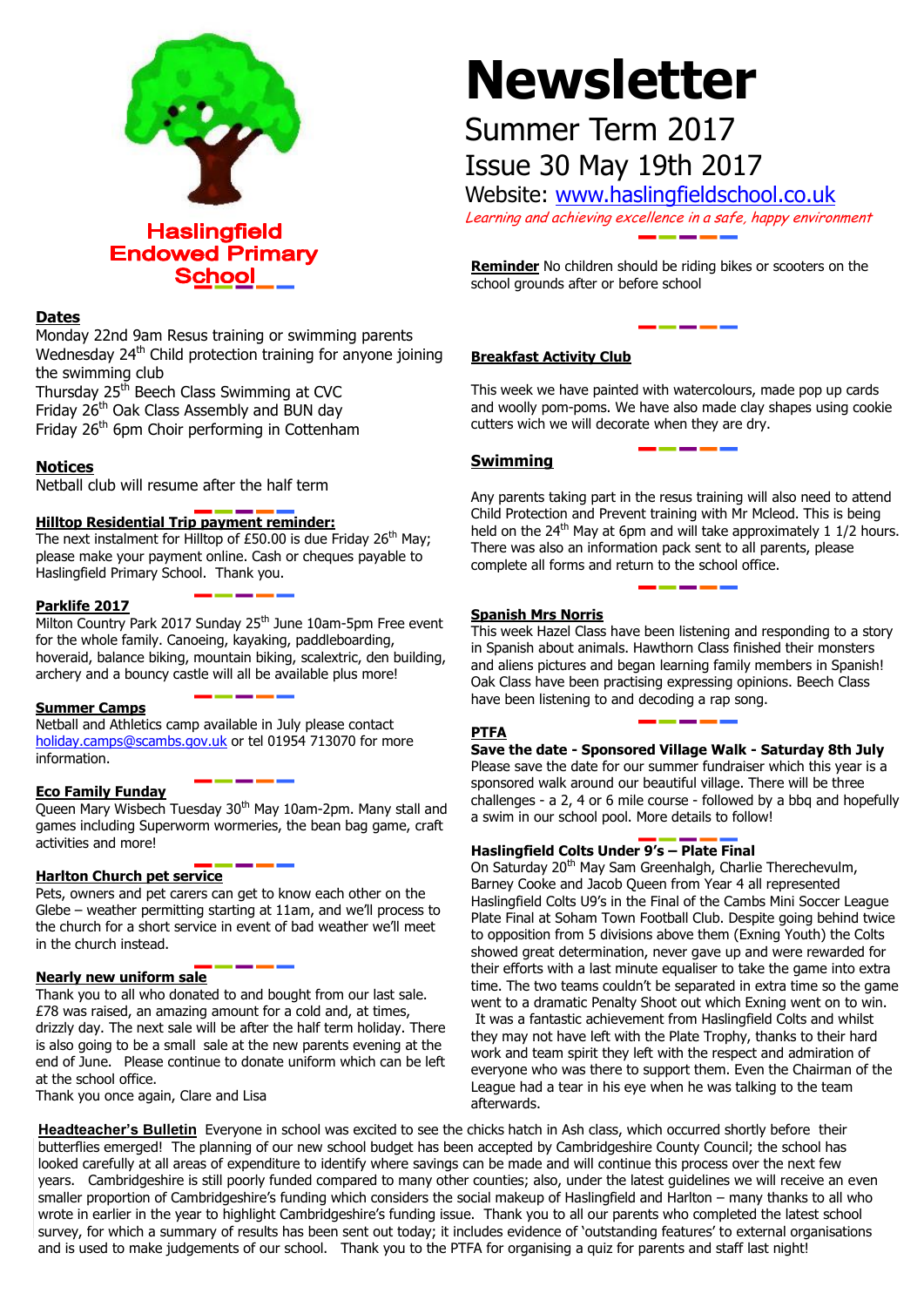

# **Dates**

Monday 22nd 9am Resus training or swimming parents Wednesday 24<sup>th</sup> Child protection training for anyone joining the swimming club

Thursday 25<sup>th</sup> Beech Class Swimming at CVC Friday 26<sup>th</sup> Oak Class Assembly and BUN day Friday  $26<sup>th</sup>$  6pm Choir performing in Cottenham

# **Notices**

Netball club will resume after the half term

### **Hilltop Residential Trip payment reminder:**

The next instalment for Hilltop of £50.00 is due Friday  $26<sup>th</sup>$  May; please make your payment online. Cash or cheques payable to Haslingfield Primary School. Thank you.

### **Parklife 2017**

Milton Country Park 2017 Sunday 25<sup>th</sup> June 10am-5pm Free event for the whole family. Canoeing, kayaking, paddleboarding, hoveraid, balance biking, mountain biking, scalextric, den building, archery and a bouncy castle will all be available plus more!

### **Summer Camps**

Netball and Athletics camp available in July please contact [holiday.camps@scambs.gov.uk](mailto:holiday.camps@scambs.gov.uk) or tel 01954 713070 for more information.

### **Eco Family Funday**

Queen Mary Wisbech Tuesday 30<sup>th</sup> May 10am-2pm. Many stall and games including Superworm wormeries, the bean bag game, craft activities and more!

# **Harlton Church pet service**

Pets, owners and pet carers can get to know each other on the Glebe – weather permitting starting at 11am, and we'll process to the church for a short service in event of bad weather we'll meet in the church instead.

### **Nearly new uniform sale**

Thank you to all who donated to and bought from our last sale. £78 was raised, an amazing amount for a cold and, at times, drizzly day. The next sale will be after the half term holiday. There is also going to be a small sale at the new parents evening at the end of June. Please continue to donate uniform which can be left at the school office.

Thank you once again, Clare and Lisa

# **Newsletter**

# Summer Term 2017 Issue 30 May 19th 2017

Website: [www.haslingfieldschool.co.uk](http://www.haslingfieldschool.co.uk/) Learning and achieving excellence in a safe, happy environment

**Reminder** No children should be riding bikes or scooters on the

# **Breakfast Activity Club**

school grounds after or before school

This week we have painted with watercolours, made pop up cards and woolly pom-poms. We have also made clay shapes using cookie cutters wich we will decorate when they are dry.

# **Swimming**

Any parents taking part in the resus training will also need to attend Child Protection and Prevent training with Mr Mcleod. This is being held on the 24<sup>th</sup> May at 6pm and will take approximately 1 1/2 hours. There was also an information pack sent to all parents, please complete all forms and return to the school office.

### **Spanish Mrs Norris**

This week Hazel Class have been listening and responding to a story in Spanish about animals. Hawthorn Class finished their monsters and aliens pictures and began learning family members in Spanish! Oak Class have been practising expressing opinions. Beech Class have been listening to and decoding a rap song.

### **PTFA**

**Save the date - Sponsored Village Walk - Saturday 8th July** Please save the date for our summer fundraiser which this year is a sponsored walk around our beautiful village. There will be three challenges - a 2, 4 or 6 mile course - followed by a bbq and hopefully

# **Haslingfield Colts Under 9's – Plate Final**

a swim in our school pool. More details to follow!

On Saturday 20<sup>th</sup> May Sam Greenhalgh, Charlie Therechevulm, Barney Cooke and Jacob Queen from Year 4 all represented Haslingfield Colts U9's in the Final of the Cambs Mini Soccer League Plate Final at Soham Town Football Club. Despite going behind twice to opposition from 5 divisions above them (Exning Youth) the Colts showed great determination, never gave up and were rewarded for their efforts with a last minute equaliser to take the game into extra time. The two teams couldn't be separated in extra time so the game went to a dramatic Penalty Shoot out which Exning went on to win. It was a fantastic achievement from Haslingfield Colts and whilst they may not have left with the Plate Trophy, thanks to their hard work and team spirit they left with the respect and admiration of everyone who was there to support them. Even the Chairman of the League had a tear in his eye when he was talking to the team afterwards.

**Headteacher's Bulletin** Everyone in school was excited to see the chicks hatch in Ash class, which occurred shortly before their butterflies emerged! The planning of our new school budget has been accepted by Cambridgeshire County Council; the school has looked carefully at all areas of expenditure to identify where savings can be made and will continue this process over the next few years. Cambridgeshire is still poorly funded compared to many other counties; also, under the latest guidelines we will receive an even smaller proportion of Cambridgeshire's funding which considers the social makeup of Haslingfield and Harlton – many thanks to all who wrote in earlier in the year to highlight Cambridgeshire's funding issue. Thank you to all our parents who completed the latest school survey, for which a summary of results has been sent out today; it includes evidence of 'outstanding features' to external organisations and is used to make judgements of our school. Thank you to the PTFA for organising a quiz for parents and staff last night!